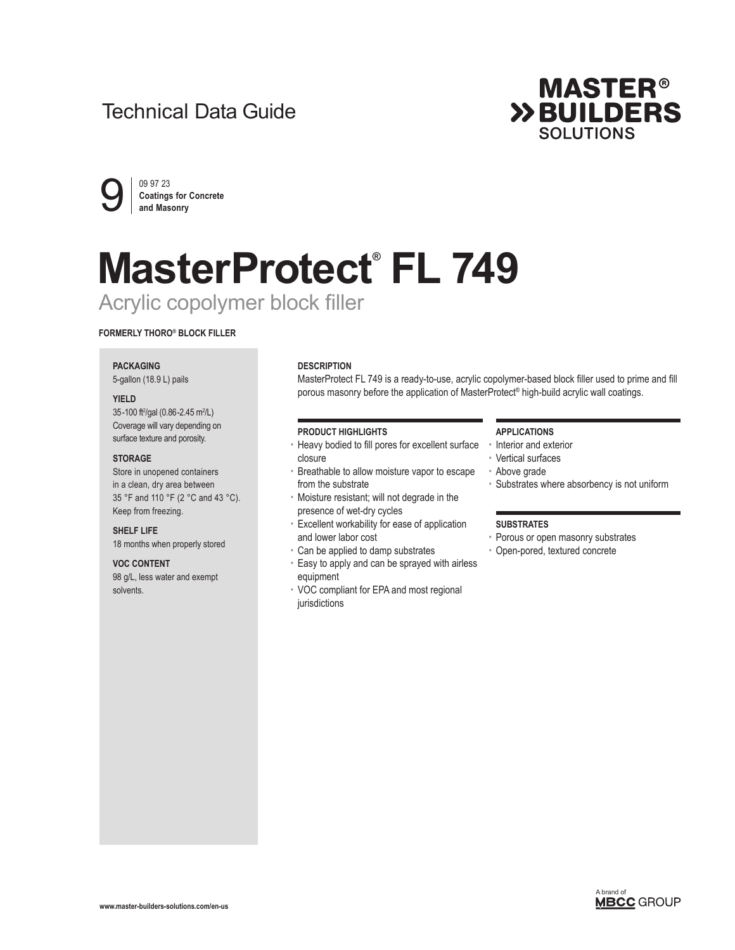## Technical Data Guide





# **MasterProtect® FL 749** Acrylic copolymer block filler

### **FORMERLY THORO® BLOCK FILLER**

#### **PACKAGING**

5-gallon (18.9 L) pails

#### **YIELD**

35-100 ft<sup>2</sup>/gal (0.86-2.45 m<sup>2</sup>/L) Coverage will vary depending on surface texture and porosity.

#### **STORAGE**

Store in unopened containers in a clean, dry area between 35 °F and 110 °F (2 °C and 43 °C). Keep from freezing.

#### **SHELF LIFE**

18 months when properly stored

#### **VOC CONTENT**

98 g/L, less water and exempt solvents.

#### **DESCRIPTION**

MasterProtect FL 749 is a ready-to-use, acrylic copolymer-based block filler used to prime and fill porous masonry before the application of MasterProtect® high-build acrylic wall coatings.

#### **PRODUCT HIGHLIGHTS**

- Heavy bodied to fill pores for excellent surface closure
- Breathable to allow moisture vapor to escape from the substrate
- Moisture resistant; will not degrade in the presence of wet-dry cycles
- Excellent workability for ease of application and lower labor cost
- Can be applied to damp substrates
- Easy to apply and can be sprayed with airless equipment
- VOC compliant for EPA and most regional jurisdictions

#### **APPLICATIONS**

- Interior and exterior
- Vertical surfaces
- Above grade
- Substrates where absorbency is not uniform

#### **SUBSTRATES**

- Porous or open masonry substrates
- Open-pored, textured concrete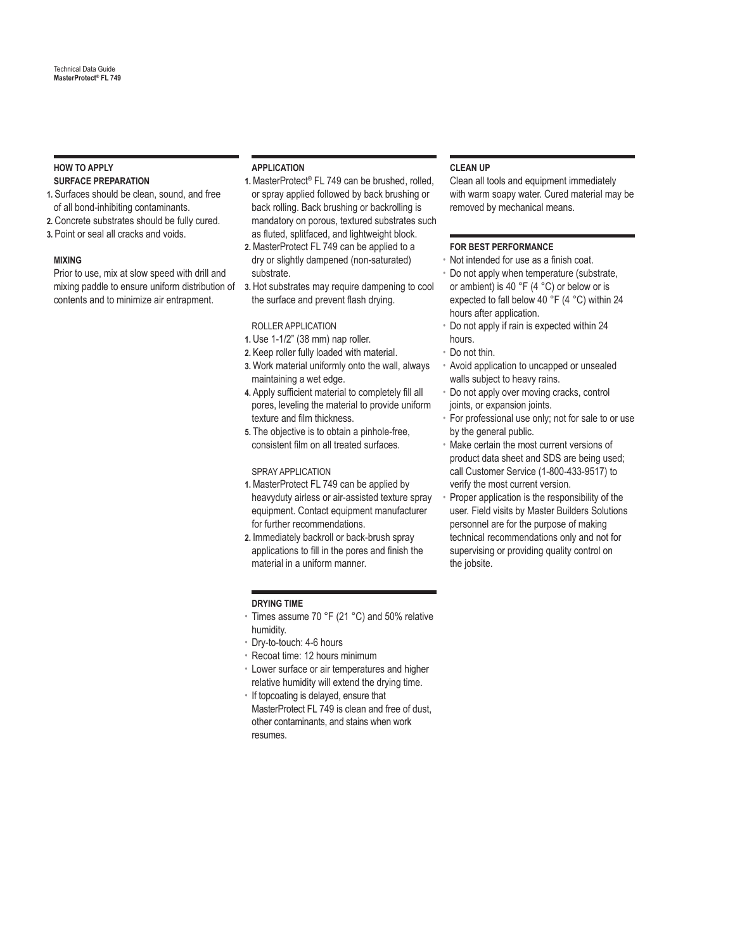#### **HOW TO APPLY SURFACE PREPARATION**

- **1.** Surfaces should be clean, sound, and free of all bond-inhibiting contaminants.
- **2.** Concrete substrates should be fully cured.
- **3.** Point or seal all cracks and voids.

#### **MIXING**

Prior to use, mix at slow speed with drill and mixing paddle to ensure uniform distribution of contents and to minimize air entrapment.

#### **APPLICATION**

- **1.** MasterProtect® FL 749 can be brushed, rolled, or spray applied followed by back brushing or back rolling. Back brushing or backrolling is mandatory on porous, textured substrates such as fluted, splitfaced, and lightweight block.
- **2.** MasterProtect FL 749 can be applied to a dry or slightly dampened (non-saturated) substrate.
- **3.** Hot substrates may require dampening to cool the surface and prevent flash drying.

#### ROLLER APPLICATION

- **1.** Use 1-1/2" (38 mm) nap roller.
- **2.** Keep roller fully loaded with material.
- **3.** Work material uniformly onto the wall, always maintaining a wet edge.
- **4.** Apply sufficient material to completely fill all pores, leveling the material to provide uniform texture and film thickness.
- **5.** The objective is to obtain a pinhole-free, consistent film on all treated surfaces.

#### SPRAY APPLICATION

- **1.** MasterProtect FL 749 can be applied by heavyduty airless or air-assisted texture spray equipment. Contact equipment manufacturer for further recommendations.
- **2.** Immediately backroll or back-brush spray applications to fill in the pores and finish the material in a uniform manner.

#### **DRYING TIME**

- Times assume 70 °F (21 °C) and 50% relative humidity.
- Dry-to-touch: 4-6 hours
- Recoat time: 12 hours minimum
- Lower surface or air temperatures and higher relative humidity will extend the drying time.
- If topcoating is delayed, ensure that MasterProtect FL 749 is clean and free of dust, other contaminants, and stains when work resumes.

#### **CLEAN UP**

Clean all tools and equipment immediately with warm soapy water. Cured material may be removed by mechanical means.

#### **FOR BEST PERFORMANCE**

- Not intended for use as a finish coat.
- Do not apply when temperature (substrate, or ambient) is 40 °F (4 °C) or below or is expected to fall below 40 °F (4 °C) within 24 hours after application.
- Do not apply if rain is expected within 24 hours.
- Do not thin.
- Avoid application to uncapped or unsealed walls subject to heavy rains.
- Do not apply over moving cracks, control joints, or expansion joints.
- For professional use only; not for sale to or use by the general public.
- Make certain the most current versions of product data sheet and SDS are being used; call Customer Service (1-800-433-9517) to verify the most current version.
- Proper application is the responsibility of the user. Field visits by Master Builders Solutions personnel are for the purpose of making technical recommendations only and not for supervising or providing quality control on the jobsite.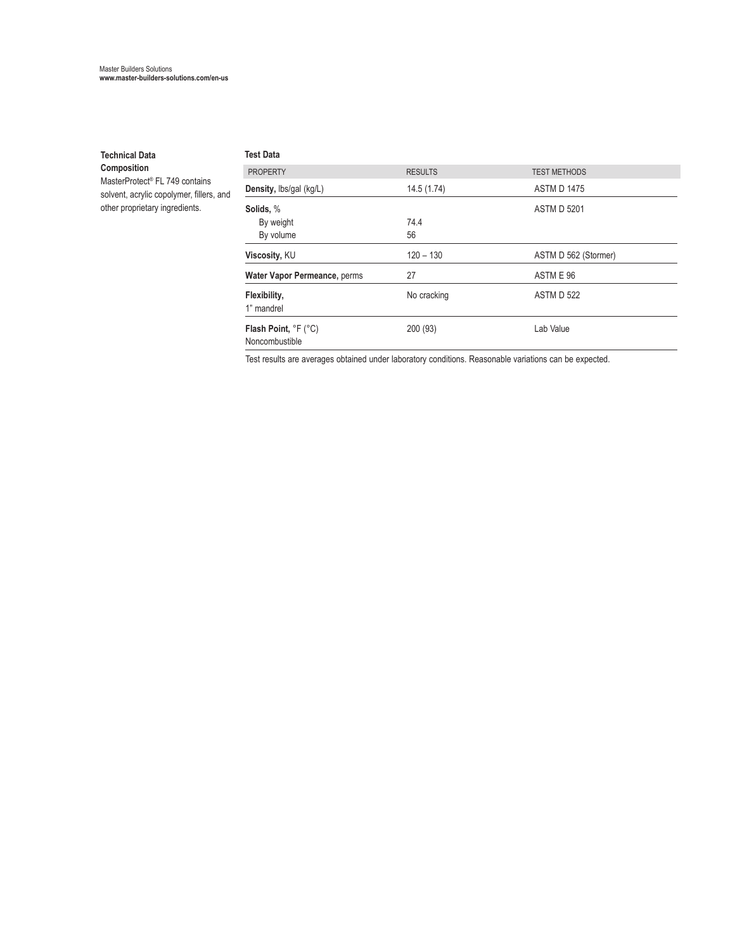#### **Technical Data**

**Composition** MasterProtect® FL 749 contains solvent, acrylic copolymer, fillers, and other proprietary ingredients.

| <b>Test Data</b>                       |                |                      |
|----------------------------------------|----------------|----------------------|
| <b>PROPERTY</b>                        | <b>RESULTS</b> | <b>TEST METHODS</b>  |
| Density, lbs/gal (kg/L)                | 14.5 (1.74)    | <b>ASTM D 1475</b>   |
| Solids, %                              |                | <b>ASTM D 5201</b>   |
| By weight                              | 74.4           |                      |
| By volume                              | 56             |                      |
| Viscosity, KU                          | $120 - 130$    | ASTM D 562 (Stormer) |
| Water Vapor Permeance, perms           | 27             | ASTM E 96            |
| Flexibility,<br>1" mandrel             | No cracking    | <b>ASTM D 522</b>    |
| Flash Point, °F (°C)<br>Noncombustible | 200 (93)       | Lab Value            |

Test results are averages obtained under laboratory conditions. Reasonable variations can be expected.